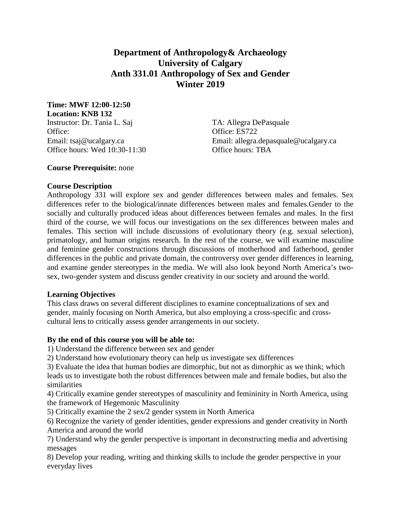# **Department of Anthropology& Archaeology University of Calgary Anth 331.01 Anthropology of Sex and Gender Winter 2019**

**Time: MWF 12:00-12:50 Location: KNB 132**

Instructor: Dr. Tania L. Saj TA: Allegra DePasquale Office: ES722 Office hours: Wed 10:30-11:30 Office hours: TBA

Email: tsaj@ucalgary.ca Email: allegra.depasquale@ucalgary.ca

### **Course Prerequisite:** none

### **Course Description**

Anthropology 331 will explore sex and gender differences between males and females. Sex differences refer to the biological/innate differences between males and females.Gender to the socially and culturally produced ideas about differences between females and males. In the first third of the course, we will focus our investigations on the sex differences between males and females. This section will include discussions of evolutionary theory (e.g. sexual selection), primatology, and human origins research. In the rest of the course, we will examine masculine and feminine gender constructions through discussions of motherhood and fatherhood, gender differences in the public and private domain, the controversy over gender differences in learning, and examine gender stereotypes in the media. We will also look beyond North America's twosex, two-gender system and discuss gender creativity in our society and around the world.

#### **Learning Objectives**

This class draws on several different disciplines to examine conceptualizations of sex and gender, mainly focusing on North America, but also employing a cross-specific and crosscultural lens to critically assess gender arrangements in our society.

#### **By the end of this course you will be able to:**

1) Understand the difference between sex and gender

2) Understand how evolutionary theory can help us investigate sex differences

3) Evaluate the idea that human bodies are dimorphic, but not as dimorphic as we think; which leads us to investigate both the robust differences between male and female bodies, but also the similarities

4) Critically examine gender stereotypes of masculinity and femininity in North America, using the framework of Hegemonic Masculinity

5) Critically examine the 2 sex/2 gender system in North America

6) Recognize the variety of gender identities, gender expressions and gender creativity in North America and around the world

7) Understand why the gender perspective is important in deconstructing media and advertising messages

8) Develop your reading, writing and thinking skills to include the gender perspective in your everyday lives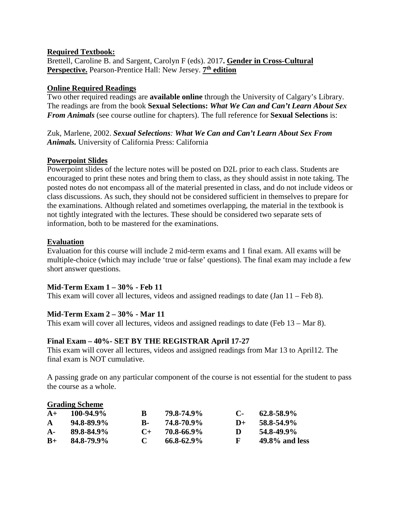### **Required Textbook:**

Brettell, Caroline B. and Sargent, Carolyn F (eds). 2017**. Gender in Cross-Cultural Perspective.** Pearson-Prentice Hall: New Jersey. **7th edition**

## **Online Required Readings**

Two other required readings are **available online** through the University of Calgary's Library. The readings are from the book **Sexual Selections:** *What We Can and Can't Learn About Sex From Animals* (see course outline for chapters). The full reference for **Sexual Selections** is:

Zuk, Marlene, 2002. *Sexual Selections: What We Can and Can't Learn About Sex From Animals.* University of California Press: California

### **Powerpoint Slides**

Powerpoint slides of the lecture notes will be posted on D2L prior to each class. Students are encouraged to print these notes and bring them to class, as they should assist in note taking. The posted notes do not encompass all of the material presented in class, and do not include videos or class discussions. As such, they should not be considered sufficient in themselves to prepare for the examinations. Although related and sometimes overlapping, the material in the textbook is not tightly integrated with the lectures. These should be considered two separate sets of information, both to be mastered for the examinations.

#### **Evaluation**

**Grading Scheme**

Evaluation for this course will include 2 mid-term exams and 1 final exam. All exams will be multiple-choice (which may include 'true or false' questions). The final exam may include a few short answer questions.

# **Mid-Term Exam 1 – 30% - Feb 11**

This exam will cover all lectures, videos and assigned readings to date (Jan 11 – Feb 8).

# **Mid-Term Exam 2 – 30% - Mar 11**

This exam will cover all lectures, videos and assigned readings to date (Feb 13 – Mar 8).

#### **Final Exam – 40%- SET BY THE REGISTRAR April 17-27**

This exam will cover all lectures, videos and assigned readings from Mar 13 to April12. The final exam is NOT cumulative.

A passing grade on any particular component of the course is not essential for the student to pass the course as a whole.

|              | Grading Scheme  |       |                 |              |                   |
|--------------|-----------------|-------|-----------------|--------------|-------------------|
| $A+$         | $100-94.9\%$    | B     | 79.8-74.9%      | $\mathbf{C}$ | $62.8 - 58.9\%$   |
| $\mathbf{A}$ | $94.8 - 89.9\%$ | в.    | 74.8-70.9%      | $1) +$       | 58.8-54.9%        |
| $A -$        | 89.8-84.9%      | $($ + | 70.8-66.9%      | Ð            | 54.8-49.9%        |
| $B+$         | 84.8-79.9%      |       | $66.8 - 62.9\%$ | F            | $49.8\%$ and less |
|              |                 |       |                 |              |                   |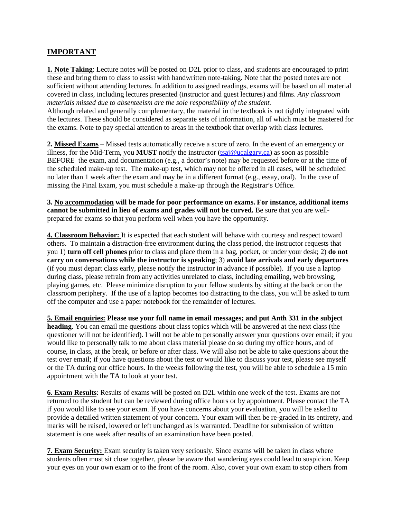# **IMPORTANT**

**1. Note Taking**: Lecture notes will be posted on D2L prior to class, and students are encouraged to print these and bring them to class to assist with handwritten note-taking. Note that the posted notes are not sufficient without attending lectures. In addition to assigned readings, exams will be based on all material covered in class, including lectures presented (instructor and guest lectures) and films. *Any classroom materials missed due to absenteeism are the sole responsibility of the student.*

Although related and generally complementary, the material in the textbook is not tightly integrated with the lectures. These should be considered as separate sets of information, all of which must be mastered for the exams. Note to pay special attention to areas in the textbook that overlap with class lectures.

**2. Missed Exams** – Missed tests automatically receive a score of zero. In the event of an emergency or illness, for the Mid-Term, you **MUST** notify the instructor [\(tsaj@ucalgary.ca\)](mailto:tsaj@ucalgary.ca) as soon as possible BEFORE the exam, and documentation (e.g., a doctor's note) may be requested before or at the time of the scheduled make-up test. The make-up test, which may not be offered in all cases, will be scheduled no later than 1 week after the exam and may be in a different format (e.g., essay, oral). In the case of missing the Final Exam, you must schedule a make-up through the Registrar's Office.

**3. No accommodation will be made for poor performance on exams. For instance, additional items cannot be submitted in lieu of exams and grades will not be curved.** Be sure that you are wellprepared for exams so that you perform well when you have the opportunity.

**4. Classroom Behavior:** It is expected that each student will behave with courtesy and respect toward others. To maintain a distraction-free environment during the class period, the instructor requests that you 1) **turn off cell phones** prior to class and place them in a bag, pocket, or under your desk; 2) **do not carry on conversations while the instructor is speaking**; 3) **avoid late arrivals and early departures**  (if you must depart class early, please notify the instructor in advance if possible). If you use a laptop during class, please refrain from any activities unrelated to class, including emailing, web browsing, playing games, etc. Please minimize disruption to your fellow students by sitting at the back or on the classroom periphery. If the use of a laptop becomes too distracting to the class, you will be asked to turn off the computer and use a paper notebook for the remainder of lectures.

**5. Email enquiries: Please use your full name in email messages; and put Anth 331 in the subject heading**. You can email me questions about class topics which will be answered at the next class (the questioner will not be identified). I will not be able to personally answer your questions over email; if you would like to personally talk to me about class material please do so during my office hours, and of course, in class, at the break, or before or after class. We will also not be able to take questions about the test over email; if you have questions about the test or would like to discuss your test, please see myself or the TA during our office hours. In the weeks following the test, you will be able to schedule a 15 min appointment with the TA to look at your test.

**6. Exam Results**: Results of exams will be posted on D2L within one week of the test. Exams are not returned to the student but can be reviewed during office hours or by appointment. Please contact the TA if you would like to see your exam. If you have concerns about your evaluation, you will be asked to provide a detailed written statement of your concern. Your exam will then be re-graded in its entirety, and marks will be raised, lowered or left unchanged as is warranted. Deadline for submission of written statement is one week after results of an examination have been posted.

**7. Exam Security:** Exam security is taken very seriously. Since exams will be taken in class where students often must sit close together, please be aware that wandering eyes could lead to suspicion. Keep your eyes on your own exam or to the front of the room. Also, cover your own exam to stop others from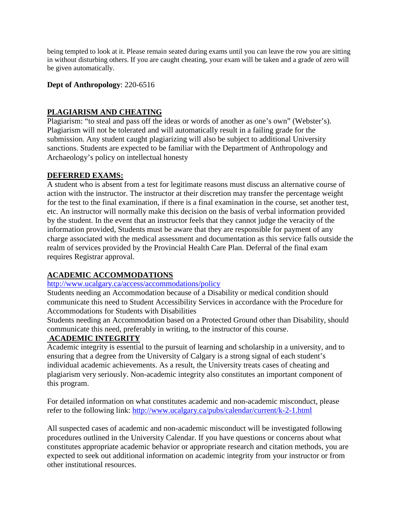being tempted to look at it. Please remain seated during exams until you can leave the row you are sitting in without disturbing others. If you are caught cheating, your exam will be taken and a grade of zero will be given automatically.

#### **Dept of Anthropology**: 220-6516

## **PLAGIARISM AND CHEATING**

Plagiarism: "to steal and pass off the ideas or words of another as one's own" (Webster's). Plagiarism will not be tolerated and will automatically result in a failing grade for the submission. Any student caught plagiarizing will also be subject to additional University sanctions. Students are expected to be familiar with the Department of Anthropology and Archaeology's policy on intellectual honesty

### **DEFERRED EXAMS:**

A student who is absent from a test for legitimate reasons must discuss an alternative course of action with the instructor. The instructor at their discretion may transfer the percentage weight for the test to the final examination, if there is a final examination in the course, set another test, etc. An instructor will normally make this decision on the basis of verbal information provided by the student. In the event that an instructor feels that they cannot judge the veracity of the information provided, Students must be aware that they are responsible for payment of any charge associated with the medical assessment and documentation as this service falls outside the realm of services provided by the Provincial Health Care Plan. Deferral of the final exam requires Registrar approval.

# **ACADEMIC ACCOMMODATIONS**

### <http://www.ucalgary.ca/access/accommodations/policy>

Students needing an Accommodation because of a Disability or medical condition should communicate this need to Student Accessibility Services in accordance with the Procedure for Accommodations for Students with Disabilities

Students needing an Accommodation based on a Protected Ground other than Disability, should communicate this need, preferably in writing, to the instructor of this course.

## **ACADEMIC INTEGRITY**

Academic integrity is essential to the pursuit of learning and scholarship in a university, and to ensuring that a degree from the University of Calgary is a strong signal of each student's individual academic achievements. As a result, the University treats cases of cheating and plagiarism very seriously. Non-academic integrity also constitutes an important component of this program.

For detailed information on what constitutes academic and non-academic misconduct, please refer to the following link:<http://www.ucalgary.ca/pubs/calendar/current/k-2-1.html>

All suspected cases of academic and non-academic misconduct will be investigated following procedures outlined in the University Calendar. If you have questions or concerns about what constitutes appropriate academic behavior or appropriate research and citation methods, you are expected to seek out additional information on academic integrity from your instructor or from other institutional resources.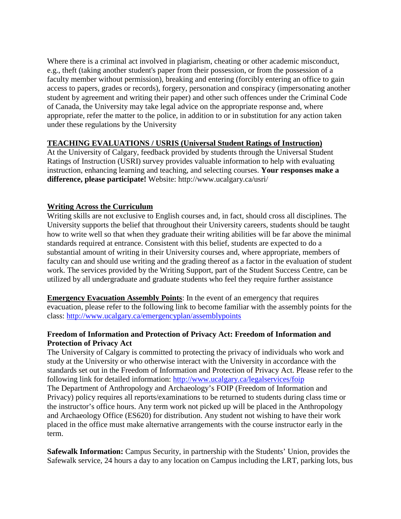Where there is a criminal act involved in plagiarism, cheating or other academic misconduct, e.g., theft (taking another student's paper from their possession, or from the possession of a faculty member without permission), breaking and entering (forcibly entering an office to gain access to papers, grades or records), forgery, personation and conspiracy (impersonating another student by agreement and writing their paper) and other such offences under the Criminal Code of Canada, the University may take legal advice on the appropriate response and, where appropriate, refer the matter to the police, in addition to or in substitution for any action taken under these regulations by the University

### **TEACHING EVALUATIONS / USRIS (Universal Student Ratings of Instruction)**

At the University of Calgary, feedback provided by students through the Universal Student Ratings of Instruction (USRI) survey provides valuable information to help with evaluating instruction, enhancing learning and teaching, and selecting courses. **Your responses make a difference, please participate!** Website: http://www.ucalgary.ca/usri/

# **Writing Across the Curriculum**

Writing skills are not exclusive to English courses and, in fact, should cross all disciplines. The University supports the belief that throughout their University careers, students should be taught how to write well so that when they graduate their writing abilities will be far above the minimal standards required at entrance. Consistent with this belief, students are expected to do a substantial amount of writing in their University courses and, where appropriate, members of faculty can and should use writing and the grading thereof as a factor in the evaluation of student work. The services provided by the Writing Support, part of the Student Success Centre, can be utilized by all undergraduate and graduate students who feel they require further assistance

**Emergency Evacuation Assembly Points**: In the event of an emergency that requires evacuation, please refer to the following link to become familiar with the assembly points for the class:<http://www.ucalgary.ca/emergencyplan/assemblypoints>

# **Freedom of Information and Protection of Privacy Act: Freedom of Information and Protection of Privacy Act**

The University of Calgary is committed to protecting the privacy of individuals who work and study at the University or who otherwise interact with the University in accordance with the standards set out in the Freedom of Information and Protection of Privacy Act. Please refer to the following link for detailed information:<http://www.ucalgary.ca/legalservices/foip> The Department of Anthropology and Archaeology's FOIP (Freedom of Information and Privacy) policy requires all reports/examinations to be returned to students during class time or the instructor's office hours. Any term work not picked up will be placed in the Anthropology and Archaeology Office (ES620) for distribution. Any student not wishing to have their work placed in the office must make alternative arrangements with the course instructor early in the term.

**Safewalk Information:** Campus Security, in partnership with the Students' Union, provides the Safewalk service, 24 hours a day to any location on Campus including the LRT, parking lots, bus